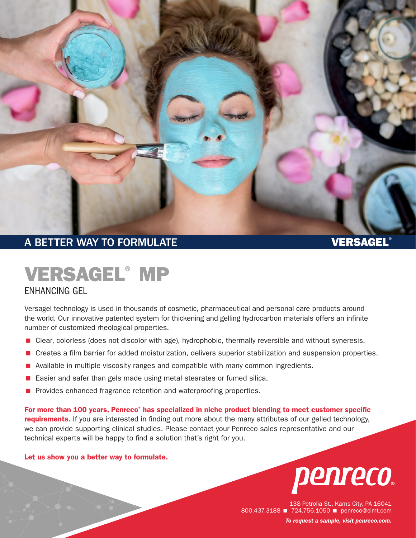

# A BETTER WAY TO FORMULATE A RESIDENCE OF A BETTER WAY TO FORMULATE

# VERSAGEL® MP

## ENHANCING GEL

Versagel technology is used in thousands of cosmetic, pharmaceutical and personal care products around the world. Our innovative patented system for thickening and gelling hydrocarbon materials offers an infinite number of customized rheological properties.

- **E** Clear, colorless (does not discolor with age), hydrophobic, thermally reversible and without syneresis.
- < Creates a film barrier for added moisturization, delivers superior stabilization and suspension properties.
- Available in multiple viscosity ranges and compatible with many common ingredients.
- < Easier and safer than gels made using metal stearates or fumed silica.
- **Perovides enhanced fragrance retention and waterproofing properties.**

For more than 100 years, Penreco<sup>®</sup> has specialized in niche product blending to meet customer specific requirements. If you are interested in finding out more about the many attributes of our gelled technology, we can provide supporting clinical studies. Please contact your Penreco sales representative and our technical experts will be happy to find a solution that's right for you.

### Let us show you a better way to formulate.



138 Petrolia St., Karns City, PA 16041 800.437.3188 724.756.1050 penreco@clmt.com *To request a sample, visit [penreco.com](http://penreco.com/).*